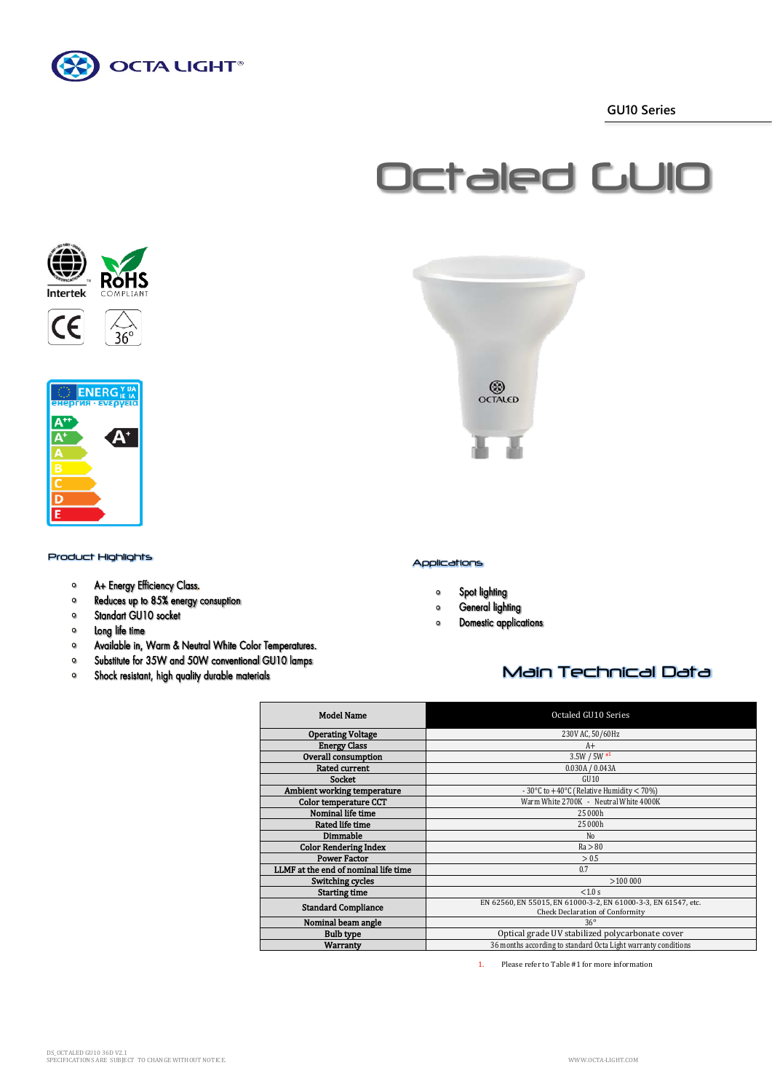

 **GU10 Series**

# Octaled GU10







## Product Highlights Applications

- A+ Energy Efficiency Class.  $\circ$
- Reduces up to 85% energy consuption  $\bullet$
- Standart GU10 socket  $\bullet$
- $\bullet$ Long life time
- $\bullet$ Available in, Warm & Neutral White Color Temperatures.
- Substitute for 35W and 50W conventional GU10 lamps  $\bullet$
- Shock resistant, high quality durable materials  $\circ$



- Spot lighting  $\mathbf{o}$
- General lighting  $\bullet$
- **Domestic applications**  $\circ$

# Main Technical Data

| <b>Model Name</b>                    | Octaled GU10 Series                                                                                      |  |  |  |
|--------------------------------------|----------------------------------------------------------------------------------------------------------|--|--|--|
| <b>Operating Voltage</b>             | 230V AC, 50/60Hz                                                                                         |  |  |  |
| <b>Energy Class</b>                  | $A+$                                                                                                     |  |  |  |
| Overall consumption                  | $3.5W / 5W *1$                                                                                           |  |  |  |
| <b>Rated current</b>                 | 0.030A / 0.043A                                                                                          |  |  |  |
| <b>Socket</b>                        | GII10                                                                                                    |  |  |  |
| Ambient working temperature          | - 30°C to $+40$ °C (Relative Humidity < 70%)                                                             |  |  |  |
| <b>Color temperature CCT</b>         | Warm White 2700K - Neutral White 4000K                                                                   |  |  |  |
| Nominal life time                    | 25 000h                                                                                                  |  |  |  |
| Rated life time                      | 25 000h                                                                                                  |  |  |  |
| Dimmable                             | N <sub>0</sub>                                                                                           |  |  |  |
| <b>Color Rendering Index</b>         | Ra > 80                                                                                                  |  |  |  |
| <b>Power Factor</b>                  | > 0.5                                                                                                    |  |  |  |
| LLMF at the end of nominal life time | 0.7                                                                                                      |  |  |  |
| Switching cycles                     | >100000                                                                                                  |  |  |  |
| <b>Starting time</b>                 | < 1.0 s                                                                                                  |  |  |  |
| <b>Standard Compliance</b>           | EN 62560, EN 55015, EN 61000-3-2, EN 61000-3-3, EN 61547, etc.<br><b>Check Declaration of Conformity</b> |  |  |  |
| Nominal beam angle                   | $36^\circ$                                                                                               |  |  |  |
| <b>Bulb type</b>                     | Optical grade UV stabilized polycarbonate cover                                                          |  |  |  |
| Warranty                             | 36 months according to standard Octa Light warranty conditions                                           |  |  |  |

1. Please refer to Table #1 for more information